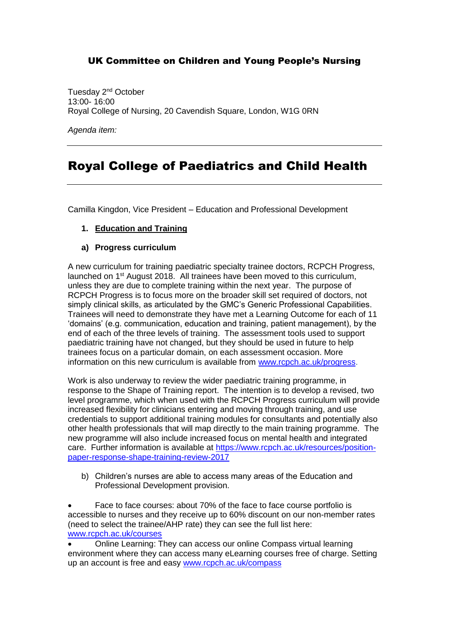### UK Committee on Children and Young People's Nursing

Tuesday 2<sup>nd</sup> October 13:00- 16:00 Royal College of Nursing, 20 Cavendish Square, London, W1G 0RN

*Agenda item:*

# Royal College of Paediatrics and Child Health

Camilla Kingdon, Vice President – Education and Professional Development

#### **1. Education and Training**

#### **a) Progress curriculum**

A new curriculum for training paediatric specialty trainee doctors, RCPCH Progress, launched on 1st August 2018. All trainees have been moved to this curriculum, unless they are due to complete training within the next year. The purpose of RCPCH Progress is to focus more on the broader skill set required of doctors, not simply clinical skills, as articulated by the GMC's Generic Professional Capabilities. Trainees will need to demonstrate they have met a Learning Outcome for each of 11 'domains' (e.g. communication, education and training, patient management), by the end of each of the three levels of training. The assessment tools used to support paediatric training have not changed, but they should be used in future to help trainees focus on a particular domain, on each assessment occasion. More information on this new curriculum is available from [www.rcpch.ac.uk/progress.](http://www.rcpch.ac.uk/progress)

Work is also underway to review the wider paediatric training programme, in response to the Shape of Training report. The intention is to develop a revised, two level programme, which when used with the RCPCH Progress curriculum will provide increased flexibility for clinicians entering and moving through training, and use credentials to support additional training modules for consultants and potentially also other health professionals that will map directly to the main training programme. The new programme will also include increased focus on mental health and integrated care. Further information is available at [https://www.rcpch.ac.uk/resources/position](https://www.rcpch.ac.uk/resources/position-paper-response-shape-training-review-2017)[paper-response-shape-training-review-2017](https://www.rcpch.ac.uk/resources/position-paper-response-shape-training-review-2017)

b) Children's nurses are able to access many areas of the Education and Professional Development provision.

 Face to face courses: about 70% of the face to face course portfolio is accessible to nurses and they receive up to 60% discount on our non-member rates (need to select the trainee/AHP rate) they can see the full list here: [www.rcpch.ac.uk/courses](http://www.rcpch.ac.uk/courses)

 Online Learning: They can access our online Compass virtual learning environment where they can access many eLearning courses free of charge. Setting up an account is free and easy [www.rcpch.ac.uk/compass](http://www.rcpch.ac.uk/compass)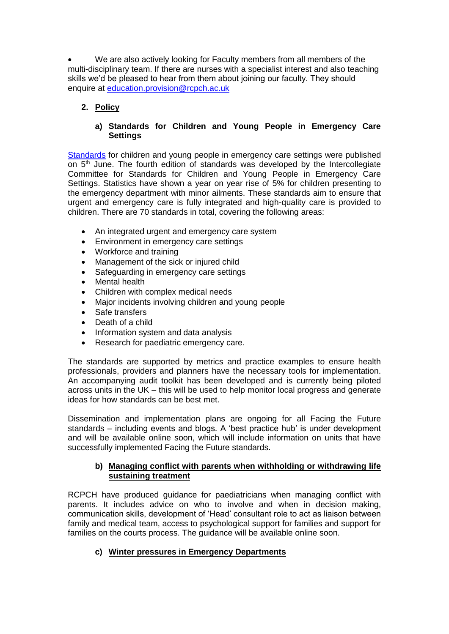We are also actively looking for Faculty members from all members of the multi-disciplinary team. If there are nurses with a specialist interest and also teaching skills we'd be pleased to hear from them about joining our faculty. They should enquire at [education.provision@rcpch.ac.uk](mailto:education.provision@rcpch.ac.uk)

#### **2. Policy**

#### **a) Standards for Children and Young People in Emergency Care Settings**

[Standards](https://www.rcpch.ac.uk/resources/facing-future-standards-children-young-people-emergency-care-settings) for children and young people in emergency care settings were published on  $5<sup>th</sup>$  June. The fourth edition of standards was developed by the Intercollegiate Committee for Standards for Children and Young People in Emergency Care Settings. Statistics have shown a year on year rise of 5% for children presenting to the emergency department with minor ailments. These standards aim to ensure that urgent and emergency care is fully integrated and high-quality care is provided to children. There are 70 standards in total, covering the following areas:

- An integrated urgent and emergency care system
- Environment in emergency care settings
- Workforce and training
- Management of the sick or injured child
- Safeguarding in emergency care settings
- Mental health
- Children with complex medical needs
- Major incidents involving children and young people
- Safe transfers
- Death of a child
- Information system and data analysis
- Research for paediatric emergency care.

The standards are supported by metrics and practice examples to ensure health professionals, providers and planners have the necessary tools for implementation. An accompanying audit toolkit has been developed and is currently being piloted across units in the UK – this will be used to help monitor local progress and generate ideas for how standards can be best met.

Dissemination and implementation plans are ongoing for all Facing the Future standards – including events and blogs. A 'best practice hub' is under development and will be available online soon, which will include information on units that have successfully implemented Facing the Future standards.

#### **b) Managing conflict with parents when withholding or withdrawing life sustaining treatment**

RCPCH have produced guidance for paediatricians when managing conflict with parents. It includes advice on who to involve and when in decision making, communication skills, development of 'Head' consultant role to act as liaison between family and medical team, access to psychological support for families and support for families on the courts process. The guidance will be available online soon.

#### **c) Winter pressures in Emergency Departments**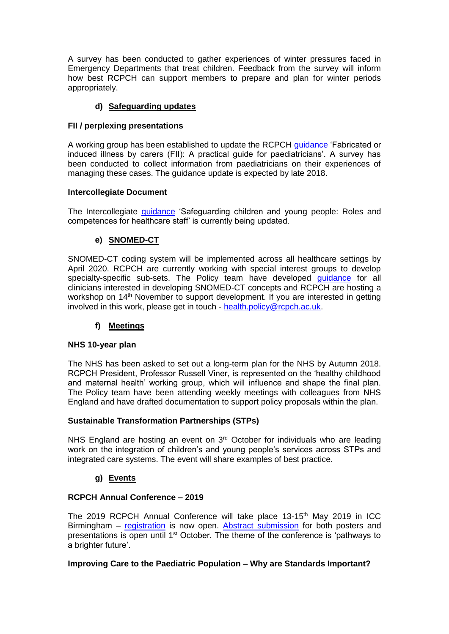A survey has been conducted to gather experiences of winter pressures faced in Emergency Departments that treat children. Feedback from the survey will inform how best RCPCH can support members to prepare and plan for winter periods appropriately.

#### **d) Safeguarding updates**

#### **FII / perplexing presentations**

A working group has been established to update the RCPCH [guidance](https://www.rcpch.ac.uk/resources/fabricated-or-induced-illness-fii-carers-practical-guide-paediatricians) 'Fabricated or induced illness by carers (FII): A practical guide for paediatricians'. A survey has been conducted to collect information from paediatricians on their experiences of managing these cases. The guidance update is expected by late 2018.

#### **Intercollegiate Document**

The Intercollegiate *guidance* 'Safeguarding children and young people: Roles and competences for healthcare staff' is currently being updated.

#### **e) SNOMED-CT**

SNOMED-CT coding system will be implemented across all healthcare settings by April 2020. RCPCH are currently working with special interest groups to develop specialty-specific sub-sets. The Policy team have developed quidance for all clinicians interested in developing SNOMED-CT concepts and RCPCH are hosting a workshop on 14<sup>th</sup> November to support development. If you are interested in getting involved in this work, please get in touch - [health.policy@rcpch.ac.uk.](mailto:health.policy@rcpch.ac.uk)

#### **f) Meetings**

#### **NHS 10-year plan**

The NHS has been asked to set out a long-term plan for the NHS by Autumn 2018. RCPCH President, Professor Russell Viner, is represented on the 'healthy childhood and maternal health' working group, which will influence and shape the final plan. The Policy team have been attending weekly meetings with colleagues from NHS England and have drafted documentation to support policy proposals within the plan.

#### **Sustainable Transformation Partnerships (STPs)**

NHS England are hosting an event on 3<sup>rd</sup> October for individuals who are leading work on the integration of children's and young people's services across STPs and integrated care systems. The event will share examples of best practice.

#### **g) Events**

#### **RCPCH Annual Conference – 2019**

The 2019 RCPCH Annual Conference will take place 13-15<sup>th</sup> May 2019 in ICC Birmingham – [registration](https://www.rcpch.ac.uk/news-events/rcpch-conference) is now open. [Abstract submission](https://www.rcpch.ac.uk/news-events/rcpch-conference/submit-abstract) for both posters and presentations is open until 1st October. The theme of the conference is 'pathways to a brighter future'.

#### **Improving Care to the Paediatric Population – Why are Standards Important?**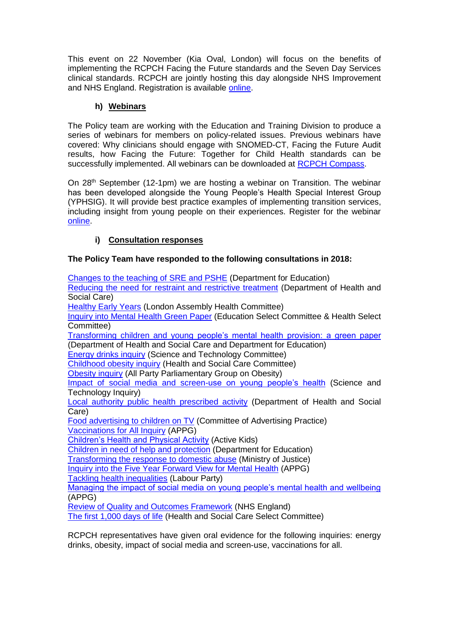This event on 22 November (Kia Oval, London) will focus on the benefits of implementing the RCPCH Facing the Future standards and the Seven Day Services clinical standards. RCPCH are jointly hosting this day alongside NHS Improvement and NHS England. Registration is available [online.](https://www.events.england.nhs.uk/events/nhs-england-paediatric-event?utm_source=Royal%20College%20Of%20Paediatrics%20and%20Child%20Health&utm_medium=email&utm_campaign=9822772_Clinical%20Leads%20eBulletin%20-%20September%202018&utm_content=Why%20are%20standards%20important%20event%20-%20register&dm_i=12S1,5UJAS,QMN8HO,MX7KP,1)

#### **h) Webinars**

The Policy team are working with the Education and Training Division to produce a series of webinars for members on policy-related issues. Previous webinars have covered: Why clinicians should engage with SNOMED-CT, Facing the Future Audit results, how Facing the Future: Together for Child Health standards can be successfully implemented. All webinars can be downloaded at [RCPCH Compass.](https://www.rcpch.ac.uk/resources/compass-learning-management-system)

On 28<sup>th</sup> September (12-1pm) we are hosting a webinar on Transition. The webinar has been developed alongside the Young People's Health Special Interest Group (YPHSIG). It will provide best practice examples of implementing transition services, including insight from young people on their experiences. Register for the webinar [online.](https://www.rcpch.ac.uk/education/courses/rcpch-webinar/webinar-transition-ensuring-high-quality-care-young-people-aged-14)

#### **i) Consultation responses**

#### **The Policy Team have responded to the following consultations in 2018:**

| Changes to the teaching of SRE and PSHE (Department for Education)                  |
|-------------------------------------------------------------------------------------|
| Reducing the need for restraint and restrictive treatment (Department of Health and |
| Social Care)                                                                        |
| <b>Healthy Early Years (London Assembly Health Committee)</b>                       |
| Inquiry into Mental Health Green Paper (Education Select Committee & Health Select  |
| Committee)                                                                          |
| Transforming children and young people's mental health provision: a green paper     |
| (Department of Health and Social Care and Department for Education)                 |
| <b>Energy drinks inquiry (Science and Technology Committee)</b>                     |
| <b>Childhood obesity inquiry (Health and Social Care Committee)</b>                 |
| <b>Obesity inquiry (All Party Parliamentary Group on Obesity)</b>                   |
| Impact of social media and screen-use on young people's health (Science and         |
| Technology Inquiry)                                                                 |
| Local authority public health prescribed activity (Department of Health and Social  |
| Care)                                                                               |
| Food advertising to children on TV (Committee of Advertising Practice)              |
| <b>Vaccinations for All Inquiry (APPG)</b>                                          |
| <b>Children's Health and Physical Activity (Active Kids)</b>                        |
| Children in need of help and protection (Department for Education)                  |
| Transforming the response to domestic abuse (Ministry of Justice)                   |
| Inquiry into the Five Year Forward View for Mental Health (APPG)                    |
| <b>Tackling health inequalities (Labour Party)</b>                                  |
| Managing the impact of social media on young people's mental health and wellbeing   |
| (APPG)                                                                              |
| <b>Review of Quality and Outcomes Framework (NHS England)</b>                       |
| The first 1,000 days of life (Health and Social Care Select Committee)              |

RCPCH representatives have given oral evidence for the following inquiries: energy drinks, obesity, impact of social media and screen-use, vaccinations for all.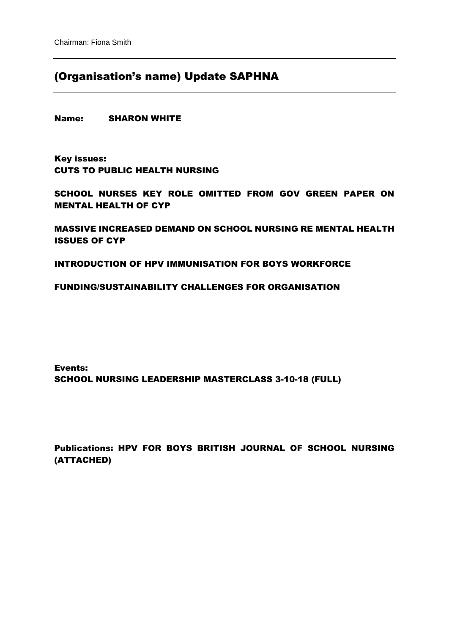## (Organisation's name) Update SAPHNA

Name: SHARON WHITE

Key issues: CUTS TO PUBLIC HEALTH NURSING

SCHOOL NURSES KEY ROLE OMITTED FROM GOV GREEN PAPER ON MENTAL HEALTH OF CYP

MASSIVE INCREASED DEMAND ON SCHOOL NURSING RE MENTAL HEALTH ISSUES OF CYP

INTRODUCTION OF HPV IMMUNISATION FOR BOYS WORKFORCE

#### FUNDING/SUSTAINABILITY CHALLENGES FOR ORGANISATION

Events: SCHOOL NURSING LEADERSHIP MASTERCLASS 3-10-18 (FULL)

Publications: HPV FOR BOYS BRITISH JOURNAL OF SCHOOL NURSING (ATTACHED)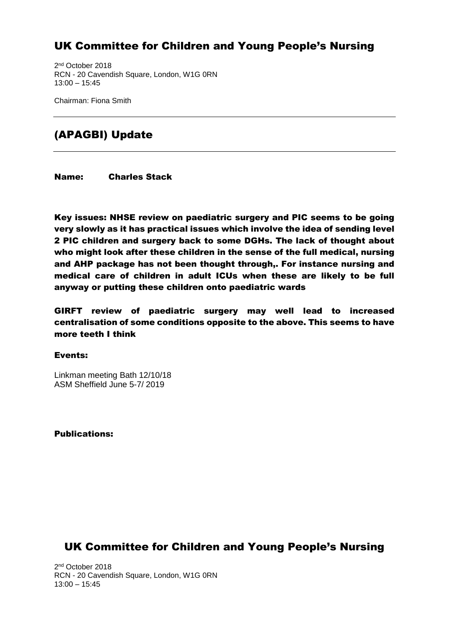## UK Committee for Children and Young People's Nursing

2 nd October 2018 RCN - 20 Cavendish Square, London, W1G 0RN 13:00 – 15:45

Chairman: Fiona Smith

## (APAGBI) Update

Name: Charles Stack

Key issues: NHSE review on paediatric surgery and PIC seems to be going very slowly as it has practical issues which involve the idea of sending level 2 PIC children and surgery back to some DGHs. The lack of thought about who might look after these children in the sense of the full medical, nursing and AHP package has not been thought through,. For instance nursing and medical care of children in adult ICUs when these are likely to be full anyway or putting these children onto paediatric wards

GIRFT review of paediatric surgery may well lead to increased centralisation of some conditions opposite to the above. This seems to have more teeth I think

#### Events:

Linkman meeting Bath 12/10/18 ASM Sheffield June 5-7/ 2019

Publications:

## UK Committee for Children and Young People's Nursing

2 nd October 2018 RCN - 20 Cavendish Square, London, W1G 0RN 13:00 – 15:45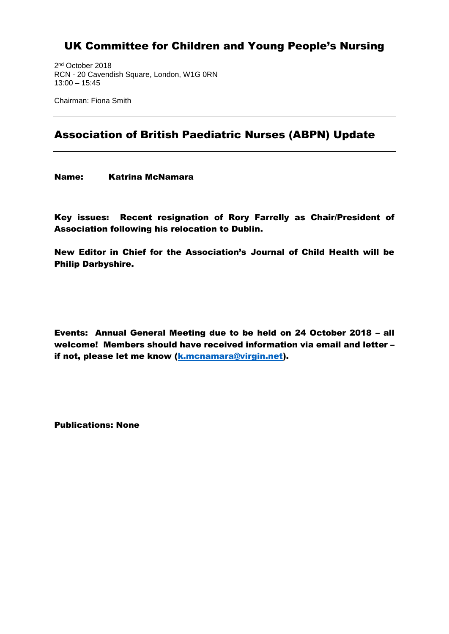## UK Committee for Children and Young People's Nursing

2 nd October 2018 RCN - 20 Cavendish Square, London, W1G 0RN 13:00 – 15:45

Chairman: Fiona Smith

## Association of British Paediatric Nurses (ABPN) Update

Name: Katrina McNamara

Key issues: Recent resignation of Rory Farrelly as Chair/President of Association following his relocation to Dublin.

New Editor in Chief for the Association's Journal of Child Health will be Philip Darbyshire.

Events: Annual General Meeting due to be held on 24 October 2018 – all welcome! Members should have received information via email and letter – if not, please let me know [\(k.mcnamara@virgin.net\)](mailto:k.mcnamara@virgin.net).

Publications: None